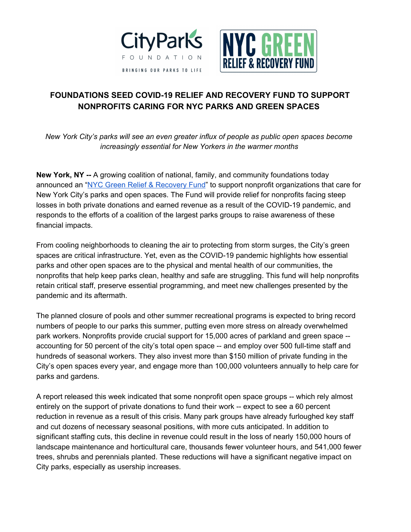



## **FOUNDATIONS SEED COVID-19 RELIEF AND RECOVERY FUND TO SUPPORT NONPROFITS CARING FOR NYC PARKS AND GREEN SPACES**

*New York City's parks will see an even greater influx of people as public open spaces become increasingly essential for New Yorkers in the warmer months*

**New York, NY --** A growing coalition of national, family, and community foundations today announced an "NYC Green Relief & [Recovery](http://cityparksfoundation.org/nyc-green-fund) Fund" to support nonprofit organizations that care for New York City's parks and open spaces. The Fund will provide relief for nonprofits facing steep losses in both private donations and earned revenue as a result of the COVID-19 pandemic, and responds to the efforts of a coalition of the largest parks groups to raise awareness of these financial impacts.

From cooling neighborhoods to cleaning the air to protecting from storm surges, the City's green spaces are critical infrastructure. Yet, even as the COVID-19 pandemic highlights how essential parks and other open spaces are to the physical and mental health of our communities, the nonprofits that help keep parks clean, healthy and safe are struggling. This fund will help nonprofits retain critical staff, preserve essential programming, and meet new challenges presented by the pandemic and its aftermath.

The planned closure of pools and other summer recreational programs is expected to bring record numbers of people to our parks this summer, putting even more stress on already overwhelmed park workers. Nonprofits provide crucial support for 15,000 acres of parkland and green space - accounting for 50 percent of the city's total open space -- and employ over 500 full-time staff and hundreds of seasonal workers. They also invest more than \$150 million of private funding in the City's open spaces every year, and engage more than 100,000 volunteers annually to help care for parks and gardens.

A report released this week indicated that some nonprofit open space groups -- which rely almost entirely on the support of private donations to fund their work -- expect to see a 60 percent reduction in revenue as a result of this crisis. Many park groups have already furloughed key staff and cut dozens of necessary seasonal positions, with more cuts anticipated. In addition to significant staffing cuts, this decline in revenue could result in the loss of nearly 150,000 hours of landscape maintenance and horticultural care, thousands fewer volunteer hours, and 541,000 fewer trees, shrubs and perennials planted. These reductions will have a significant negative impact on City parks, especially as usership increases.